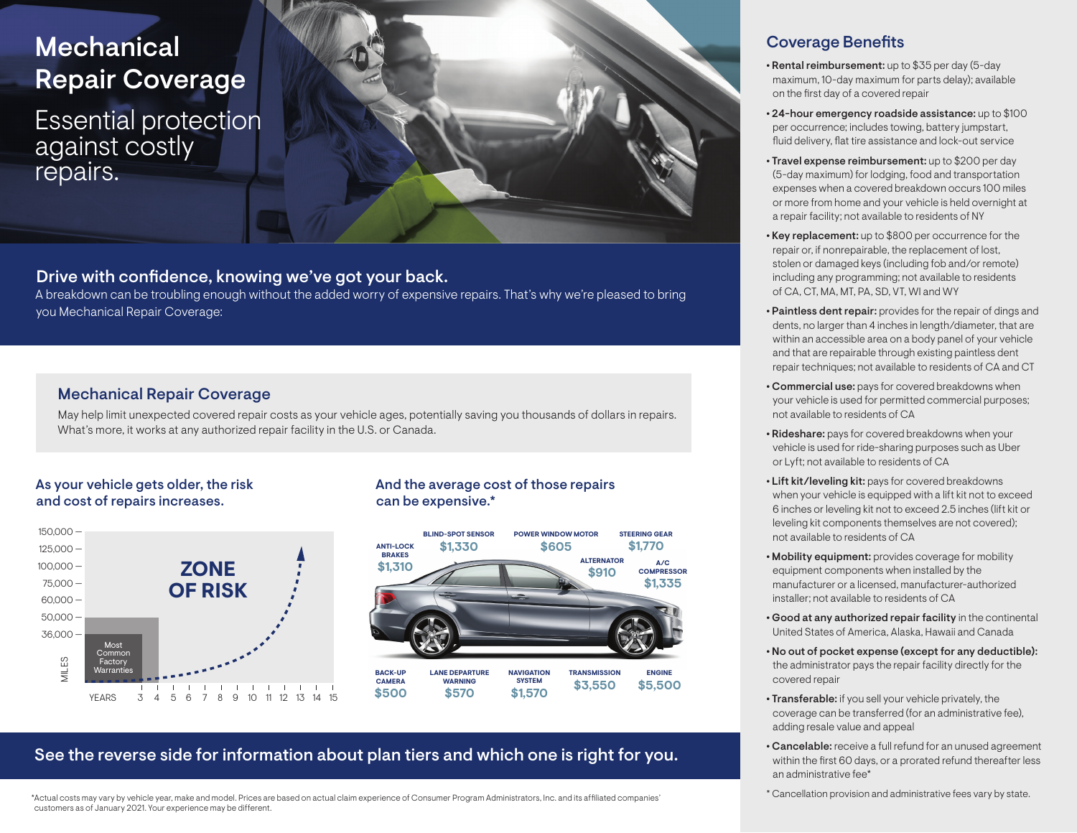# Mechanical Repair Coverage

Essential protection against costly repairs.



### Drive with confidence, knowing we've got your back.

A breakdown can be troubling enough without the added worry of expensive repairs. That's why we're pleased to bring you Mechanical Repair Coverage:

### Mechanical Repair Coverage

May help limit unexpected covered repair costs as your vehicle ages, potentially saving you thousands of dollars in repairs. What's more, it works at any authorized repair facility in the U.S. or Canada.

### As your vehicle gets older, the risk and cost of repairs increases.



### And the average cost of those repairs can be expensive.\*



### See the reverse side for information about plan tiers and which one is right for you.

\*Actual costs may vary by vehicle year, make and model. Prices are based on actual claim experience of Consumer Program Administrators, Inc. and its affiliated companies' customers as of January 2021. Your experience may be different.

### **Coverage Benefits**

- Rental reimbursement: up to \$35 per day (5-day maximum, 10-day maximum for parts delay); available on the first day of a covered repair
- **•** 24-hour emergency roadside assistance: up to \$100 per occurrence; includes towing, battery jumpstart, fluid delivery, flat tire assistance and lock-out service
- **•** Travel expense reimbursement: up to \$200 per day (5-day maximum) for lodging, food and transportation expenses when a covered breakdown occurs 100 miles or more from home and your vehicle is held overnight at a repair facility; not available to residents of NY
- **•** Key replacement: up to \$800 per occurrence for the repair or, if nonrepairable, the replacement of lost, stolen or damaged keys (including fob and/or remote) including any programming; not available to residents of CA, CT, MA, MT, PA, SD, VT, WI and WY
- **•** Paintless dent repair: provides for the repair of dings and dents, no larger than 4 inches in length/diameter, that are within an accessible area on a body panel of your vehicle and that are repairable through existing paintless dent repair techniques; not available to residents of CA and CT
- **•** Commercial use: pays for covered breakdowns when your vehicle is used for permitted commercial purposes; not available to residents of CA
- **•** Rideshare: pays for covered breakdowns when your vehicle is used for ride-sharing purposes such as Uber or Lyft; not available to residents of CA
- **•** Lift kit/leveling kit: pays for covered breakdowns when your vehicle is equipped with a lift kit not to exceed 6 inches or leveling kit not to exceed 2.5 inches (lift kit or leveling kit components themselves are not covered); not available to residents of CA
- **•** Mobility equipment: provides coverage for mobility equipment components when installed by the manufacturer or a licensed, manufacturer-authorized installer; not available to residents of CA
- **•** Good at any authorized repair facility in the continental United States of America, Alaska, Hawaii and Canada
- **•** No out of pocket expense (except for any deductible): the administrator pays the repair facility directly for the covered repair
- **•** Transferable: if you sell your vehicle privately, the coverage can be transferred (for an administrative fee), adding resale value and appeal
- **•** Cancelable: receive a full refund for an unused agreement within the first 60 days, or a prorated refund thereafter less an administrative fee\*
- \* Cancellation provision and administrative fees vary by state.